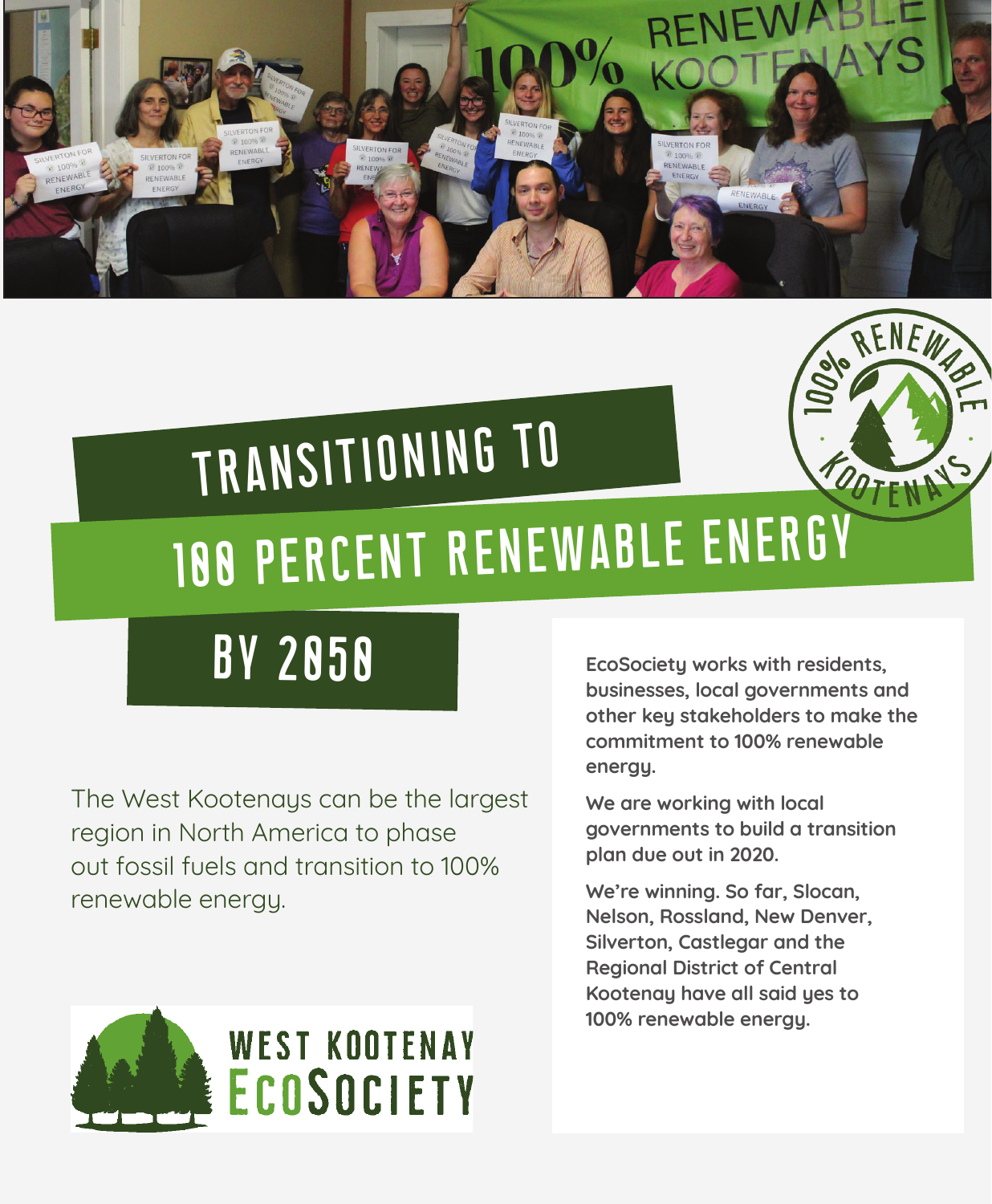

# TRANSITIONING TO OOTFNA 100 PERCENT RENEWABLE ENERGY

The West Kootenays can be the largest region in North America to phase out fossil fuels and transition to 100% renewable energy.



BY 2050 **EcoSociety works with residents, businesses, local governments and other key stakeholders to make the commitment to 100% renewable energy.**

> **We are working with local governments to build a transition plan due out in 2020.**

**We're winning. So far, Slocan, Nelson, Rossland, New Denver, Silverton, Castlegar and the Regional District of Central Kootenay have all said yes to 100% renewable energy.**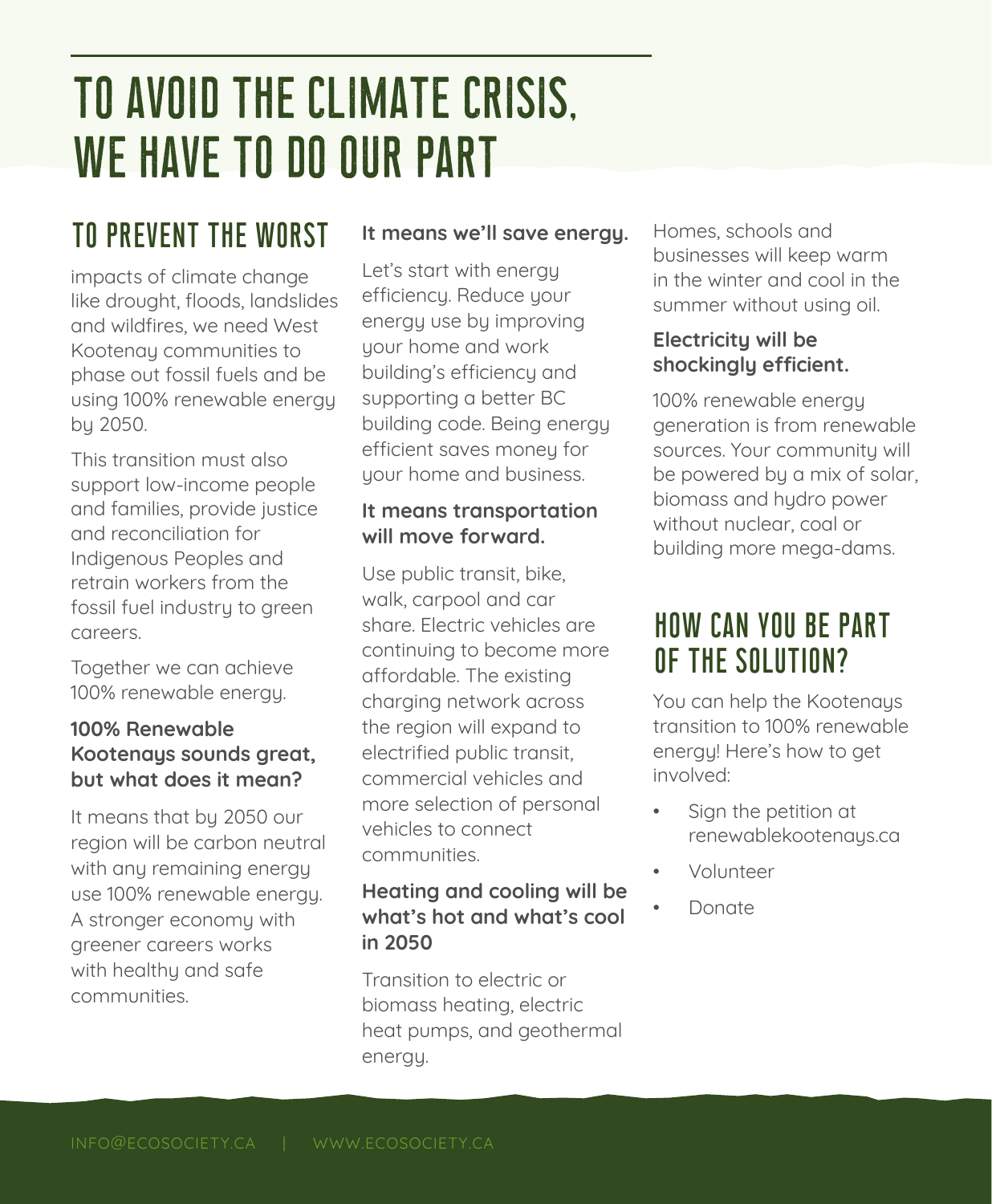# TO AVOID THE CLIMATE CRISIS, WE HAVE TO DO OUR PART

# TO PREVENT THE WORST

impacts of climate change like drought, floods, landslides and wildfires, we need West Kootenay communities to phase out fossil fuels and be using 100% renewable energy by 2050.

This transition must also support low-income people and families, provide justice and reconciliation for Indigenous Peoples and retrain workers from the fossil fuel industry to green careers.

Together we can achieve 100% renewable energy.

### **100% Renewable Kootenays sounds great, but what does it mean?**

It means that by 2050 our region will be carbon neutral with any remaining energy use 100% renewable energy. A stronger economy with greener careers works with healthu and safe communities.

### **It means we'll save energy.**

Let's start with energy efficiency. Reduce your energy use by improving your home and work building's efficiency and supporting a better BC building code. Being energy efficient saves money for your home and business.

### **It means transportation will move forward.**

Use public transit, bike, walk, carpool and car share. Electric vehicles are continuing to become more affordable. The existing charging network across the region will expand to electrified public transit, commercial vehicles and more selection of personal vehicles to connect communities.

### **Heating and cooling will be what's hot and what's cool in 2050**

Transition to electric or biomass heating, electric heat pumps, and geothermal energy.

Homes, schools and businesses will keep warm in the winter and cool in the summer without using oil.

### **Electricity will be shockingly efficient.**

100% renewable energy generation is from renewable sources. Your community will be powered by a mix of solar, biomass and hydro power without nuclear, coal or building more mega-dams.

### HOW CAN YOU BE PART OF THE SOLUTION?

You can help the Kootenaus transition to 100% renewable energy! Here's how to get involved:

- Sign the petition at renewablekootenays.ca
- Volunteer
- Donate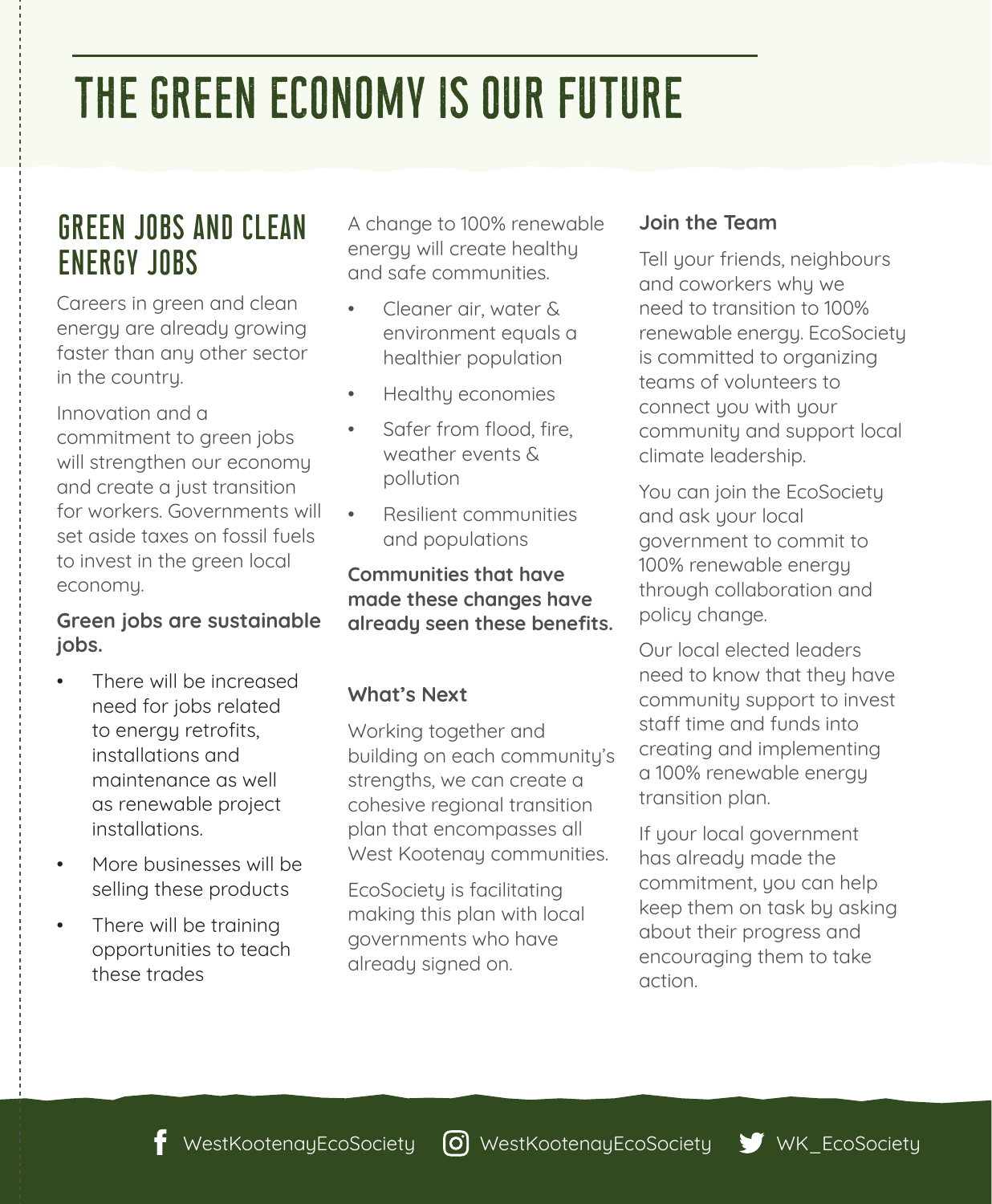# THE GREEN ECONOMY IS OUR FUTURE

### GREEN JOBS AND CLEAN ENERGY JOBS

Careers in green and clean energy are already growing faster than any other sector in the country.

Innovation and a commitment to green jobs will strengthen our economy and create a just transition for workers. Governments will set aside taxes on fossil fuels to invest in the green local economy.

#### **Green jobs are sustainable jobs.**

- There will be increased need for jobs related to energy retrofits, installations and maintenance as well as renewable project installations.
- More businesses will be selling these products
- There will be training opportunities to teach these trades

A change to 100% renewable energy will create healthy and safe communities.

- Cleaner air, water & environment equals a healthier population
- Healthy economies
- Safer from flood, fire, weather events & pollution
- Resilient communities and populations

#### **Communities that have made these changes have already seen these benefits.**

### **What's Next**

Working together and building on each community's strengths, we can create a cohesive regional transition plan that encompasses all West Kootenay communities.

EcoSociety is facilitating making this plan with local governments who have already signed on.

#### **Join the Team**

Tell your friends, neighbours and coworkers why we need to transition to 100% renewable energy. EcoSociety is committed to organizing teams of volunteers to connect you with your community and support local climate leadership.

You can join the EcoSociety and ask your local government to commit to 100% renewable energy through collaboration and policy change.

Our local elected leaders need to know that they have community support to invest staff time and funds into creating and implementing a 100% renewable energy transition plan.

If your local government has already made the commitment, you can help keep them on task by asking about their progress and encouraging them to take action.